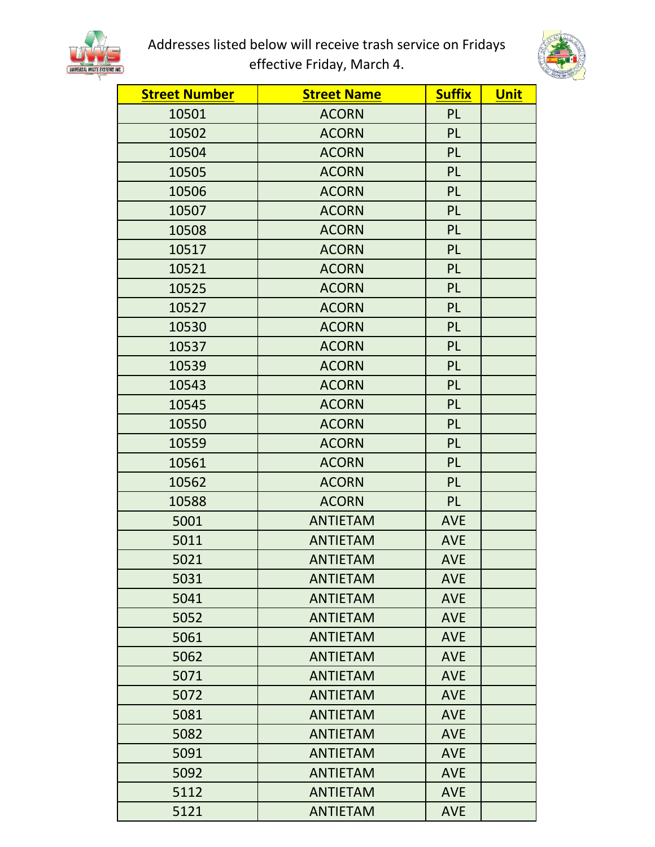

Addresses listed below will receive trash service on Fridays effective Friday, March 4.



| <b>Street Number</b> | <b>Street Name</b> | <b>Suffix</b> | <b>Unit</b> |
|----------------------|--------------------|---------------|-------------|
| 10501                | <b>ACORN</b>       | PL            |             |
| 10502                | <b>ACORN</b>       | <b>PL</b>     |             |
| 10504                | <b>ACORN</b>       | <b>PL</b>     |             |
| 10505                | <b>ACORN</b>       | PL            |             |
| 10506                | <b>ACORN</b>       | <b>PL</b>     |             |
| 10507                | <b>ACORN</b>       | PL            |             |
| 10508                | <b>ACORN</b>       | PL            |             |
| 10517                | <b>ACORN</b>       | PL            |             |
| 10521                | <b>ACORN</b>       | PL            |             |
| 10525                | <b>ACORN</b>       | PL            |             |
| 10527                | <b>ACORN</b>       | PL            |             |
| 10530                | <b>ACORN</b>       | PL            |             |
| 10537                | <b>ACORN</b>       | PL            |             |
| 10539                | <b>ACORN</b>       | PL            |             |
| 10543                | <b>ACORN</b>       | PL            |             |
| 10545                | <b>ACORN</b>       | PL            |             |
| 10550                | <b>ACORN</b>       | PL            |             |
| 10559                | <b>ACORN</b>       | PL            |             |
| 10561                | <b>ACORN</b>       | PL            |             |
| 10562                | <b>ACORN</b>       | PL            |             |
| 10588                | <b>ACORN</b>       | <b>PL</b>     |             |
| 5001                 | <b>ANTIETAM</b>    | <b>AVE</b>    |             |
| 5011                 | <b>ANTIETAM</b>    | <b>AVE</b>    |             |
| 5021                 | <b>ANTIETAM</b>    | <b>AVE</b>    |             |
| 5031                 | <b>ANTIETAM</b>    | <b>AVE</b>    |             |
| 5041                 | <b>ANTIETAM</b>    | <b>AVE</b>    |             |
| 5052                 | <b>ANTIETAM</b>    | <b>AVE</b>    |             |
| 5061                 | <b>ANTIETAM</b>    | <b>AVE</b>    |             |
| 5062                 | <b>ANTIETAM</b>    | <b>AVE</b>    |             |
| 5071                 | <b>ANTIETAM</b>    | <b>AVE</b>    |             |
| 5072                 | <b>ANTIETAM</b>    | <b>AVE</b>    |             |
| 5081                 | <b>ANTIETAM</b>    | <b>AVE</b>    |             |
| 5082                 | <b>ANTIETAM</b>    | <b>AVE</b>    |             |
| 5091                 | <b>ANTIETAM</b>    | <b>AVE</b>    |             |
| 5092                 | <b>ANTIETAM</b>    | <b>AVE</b>    |             |
| 5112                 | <b>ANTIETAM</b>    | <b>AVE</b>    |             |
| 5121                 | <b>ANTIETAM</b>    | <b>AVE</b>    |             |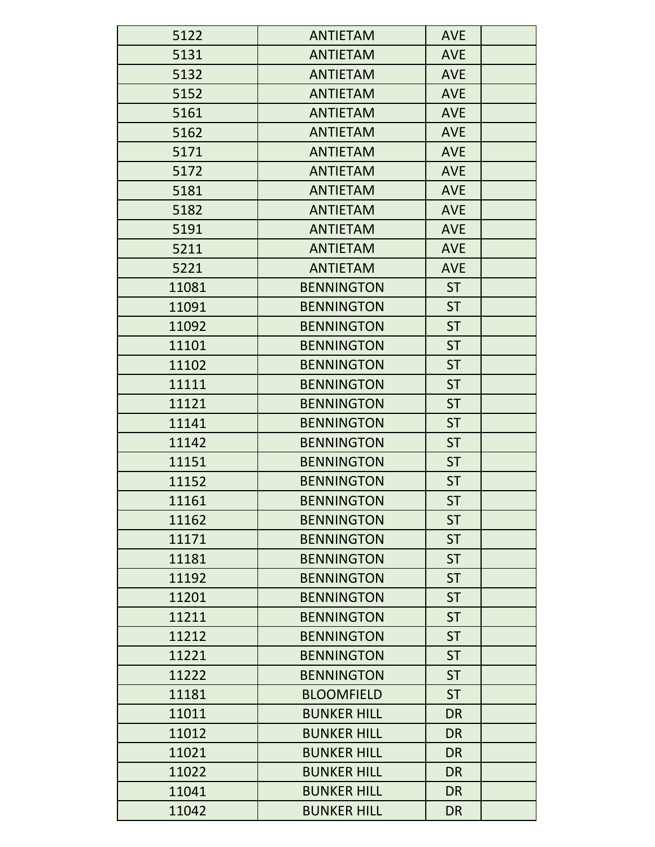| 5122  | <b>ANTIETAM</b>    | <b>AVE</b> |
|-------|--------------------|------------|
| 5131  | <b>ANTIETAM</b>    | <b>AVE</b> |
| 5132  | <b>ANTIETAM</b>    | <b>AVE</b> |
| 5152  | <b>ANTIETAM</b>    | <b>AVE</b> |
| 5161  | <b>ANTIETAM</b>    | <b>AVE</b> |
| 5162  | <b>ANTIETAM</b>    | <b>AVE</b> |
| 5171  | <b>ANTIETAM</b>    | <b>AVE</b> |
| 5172  | <b>ANTIETAM</b>    | <b>AVE</b> |
| 5181  | <b>ANTIETAM</b>    | <b>AVE</b> |
| 5182  | <b>ANTIETAM</b>    | <b>AVE</b> |
| 5191  | <b>ANTIETAM</b>    | <b>AVE</b> |
| 5211  | <b>ANTIETAM</b>    | <b>AVE</b> |
| 5221  | <b>ANTIETAM</b>    | <b>AVE</b> |
| 11081 | <b>BENNINGTON</b>  | <b>ST</b>  |
| 11091 | <b>BENNINGTON</b>  | <b>ST</b>  |
| 11092 | <b>BENNINGTON</b>  | <b>ST</b>  |
| 11101 | <b>BENNINGTON</b>  | <b>ST</b>  |
| 11102 | <b>BENNINGTON</b>  | <b>ST</b>  |
| 11111 | <b>BENNINGTON</b>  | <b>ST</b>  |
| 11121 | <b>BENNINGTON</b>  | <b>ST</b>  |
| 11141 | <b>BENNINGTON</b>  | <b>ST</b>  |
| 11142 | <b>BENNINGTON</b>  | <b>ST</b>  |
| 11151 | <b>BENNINGTON</b>  | <b>ST</b>  |
| 11152 | <b>BENNINGTON</b>  | <b>ST</b>  |
| 11161 | <b>BENNINGTON</b>  | <b>ST</b>  |
| 11162 | <b>BENNINGTON</b>  | <b>ST</b>  |
| 11171 | <b>BENNINGTON</b>  | <b>ST</b>  |
| 11181 | <b>BENNINGTON</b>  | <b>ST</b>  |
| 11192 | <b>BENNINGTON</b>  | <b>ST</b>  |
| 11201 | <b>BENNINGTON</b>  | <b>ST</b>  |
| 11211 | <b>BENNINGTON</b>  | <b>ST</b>  |
| 11212 | <b>BENNINGTON</b>  | <b>ST</b>  |
| 11221 | <b>BENNINGTON</b>  | <b>ST</b>  |
| 11222 | <b>BENNINGTON</b>  | <b>ST</b>  |
| 11181 | <b>BLOOMFIELD</b>  | <b>ST</b>  |
| 11011 | <b>BUNKER HILL</b> | <b>DR</b>  |
| 11012 | <b>BUNKER HILL</b> | <b>DR</b>  |
| 11021 | <b>BUNKER HILL</b> | <b>DR</b>  |
| 11022 | <b>BUNKER HILL</b> | <b>DR</b>  |
| 11041 | <b>BUNKER HILL</b> | <b>DR</b>  |
| 11042 | <b>BUNKER HILL</b> | <b>DR</b>  |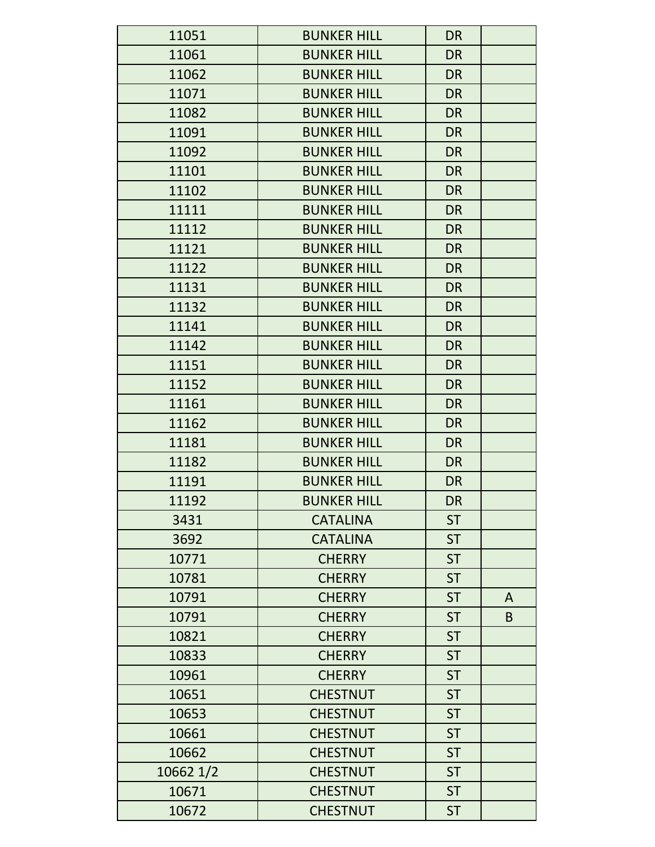| 11051     | <b>BUNKER HILL</b> | <b>DR</b> |   |
|-----------|--------------------|-----------|---|
| 11061     | <b>BUNKER HILL</b> | <b>DR</b> |   |
| 11062     | <b>BUNKER HILL</b> | <b>DR</b> |   |
| 11071     | <b>BUNKER HILL</b> | <b>DR</b> |   |
| 11082     | <b>BUNKER HILL</b> | <b>DR</b> |   |
| 11091     | <b>BUNKER HILL</b> | <b>DR</b> |   |
| 11092     | <b>BUNKER HILL</b> | <b>DR</b> |   |
| 11101     | <b>BUNKER HILL</b> | <b>DR</b> |   |
| 11102     | <b>BUNKER HILL</b> | <b>DR</b> |   |
| 11111     | <b>BUNKER HILL</b> | <b>DR</b> |   |
| 11112     | <b>BUNKER HILL</b> | <b>DR</b> |   |
| 11121     | <b>BUNKER HILL</b> | <b>DR</b> |   |
| 11122     | <b>BUNKER HILL</b> | <b>DR</b> |   |
| 11131     | <b>BUNKER HILL</b> | <b>DR</b> |   |
| 11132     | <b>BUNKER HILL</b> | <b>DR</b> |   |
| 11141     | <b>BUNKER HILL</b> | <b>DR</b> |   |
| 11142     | <b>BUNKER HILL</b> | <b>DR</b> |   |
| 11151     | <b>BUNKER HILL</b> | <b>DR</b> |   |
| 11152     | <b>BUNKER HILL</b> | <b>DR</b> |   |
| 11161     | <b>BUNKER HILL</b> | <b>DR</b> |   |
| 11162     | <b>BUNKER HILL</b> | <b>DR</b> |   |
| 11181     | <b>BUNKER HILL</b> | <b>DR</b> |   |
| 11182     | <b>BUNKER HILL</b> | <b>DR</b> |   |
| 11191     | <b>BUNKER HILL</b> | <b>DR</b> |   |
| 11192     | <b>BUNKER HILL</b> | <b>DR</b> |   |
| 3431      | <b>CATALINA</b>    | <b>ST</b> |   |
| 3692      | <b>CATALINA</b>    | <b>ST</b> |   |
| 10771     | <b>CHERRY</b>      | <b>ST</b> |   |
| 10781     | <b>CHERRY</b>      | <b>ST</b> |   |
| 10791     | <b>CHERRY</b>      | <b>ST</b> | A |
| 10791     | <b>CHERRY</b>      | <b>ST</b> | B |
| 10821     | <b>CHERRY</b>      | <b>ST</b> |   |
| 10833     | <b>CHERRY</b>      | <b>ST</b> |   |
| 10961     | <b>CHERRY</b>      | <b>ST</b> |   |
| 10651     | <b>CHESTNUT</b>    | <b>ST</b> |   |
| 10653     | <b>CHESTNUT</b>    | <b>ST</b> |   |
| 10661     | <b>CHESTNUT</b>    | <b>ST</b> |   |
| 10662     | <b>CHESTNUT</b>    | <b>ST</b> |   |
| 10662 1/2 | <b>CHESTNUT</b>    | <b>ST</b> |   |
| 10671     | <b>CHESTNUT</b>    | <b>ST</b> |   |
| 10672     | <b>CHESTNUT</b>    | <b>ST</b> |   |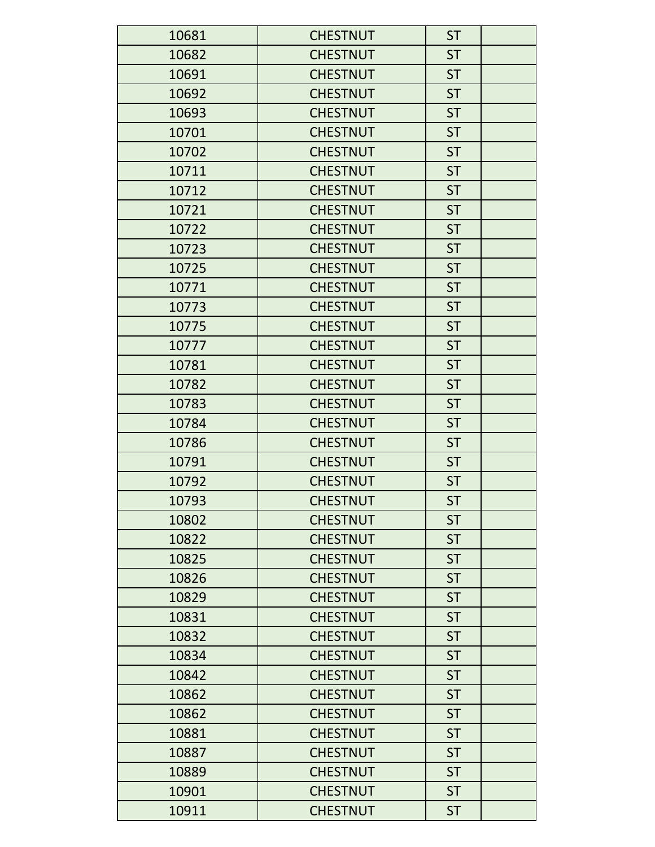| 10681 | <b>CHESTNUT</b> | <b>ST</b> |  |
|-------|-----------------|-----------|--|
| 10682 | <b>CHESTNUT</b> | <b>ST</b> |  |
| 10691 | <b>CHESTNUT</b> | <b>ST</b> |  |
| 10692 | <b>CHESTNUT</b> | <b>ST</b> |  |
| 10693 | <b>CHESTNUT</b> | <b>ST</b> |  |
| 10701 | <b>CHESTNUT</b> | <b>ST</b> |  |
| 10702 | <b>CHESTNUT</b> | <b>ST</b> |  |
| 10711 | <b>CHESTNUT</b> | <b>ST</b> |  |
| 10712 | <b>CHESTNUT</b> | <b>ST</b> |  |
| 10721 | <b>CHESTNUT</b> | <b>ST</b> |  |
| 10722 | <b>CHESTNUT</b> | <b>ST</b> |  |
| 10723 | <b>CHESTNUT</b> | <b>ST</b> |  |
| 10725 | <b>CHESTNUT</b> | <b>ST</b> |  |
| 10771 | <b>CHESTNUT</b> | <b>ST</b> |  |
| 10773 | <b>CHESTNUT</b> | <b>ST</b> |  |
| 10775 | <b>CHESTNUT</b> | <b>ST</b> |  |
| 10777 | <b>CHESTNUT</b> | <b>ST</b> |  |
| 10781 | <b>CHESTNUT</b> | <b>ST</b> |  |
| 10782 | <b>CHESTNUT</b> | <b>ST</b> |  |
| 10783 | <b>CHESTNUT</b> | <b>ST</b> |  |
| 10784 | <b>CHESTNUT</b> | <b>ST</b> |  |
| 10786 | <b>CHESTNUT</b> | <b>ST</b> |  |
| 10791 | <b>CHESTNUT</b> | <b>ST</b> |  |
| 10792 | <b>CHESTNUT</b> | <b>ST</b> |  |
| 10793 | <b>CHESTNUT</b> | <b>ST</b> |  |
| 10802 | <b>CHESTNUT</b> | <b>ST</b> |  |
| 10822 | <b>CHESTNUT</b> | <b>ST</b> |  |
| 10825 | <b>CHESTNUT</b> | <b>ST</b> |  |
| 10826 | <b>CHESTNUT</b> | <b>ST</b> |  |
| 10829 | <b>CHESTNUT</b> | <b>ST</b> |  |
| 10831 | <b>CHESTNUT</b> | <b>ST</b> |  |
| 10832 | <b>CHESTNUT</b> | <b>ST</b> |  |
| 10834 | <b>CHESTNUT</b> | <b>ST</b> |  |
| 10842 | <b>CHESTNUT</b> | <b>ST</b> |  |
| 10862 | <b>CHESTNUT</b> | <b>ST</b> |  |
| 10862 | <b>CHESTNUT</b> | <b>ST</b> |  |
| 10881 | <b>CHESTNUT</b> | <b>ST</b> |  |
| 10887 | <b>CHESTNUT</b> | <b>ST</b> |  |
| 10889 | <b>CHESTNUT</b> | <b>ST</b> |  |
| 10901 | <b>CHESTNUT</b> | <b>ST</b> |  |
| 10911 | <b>CHESTNUT</b> | <b>ST</b> |  |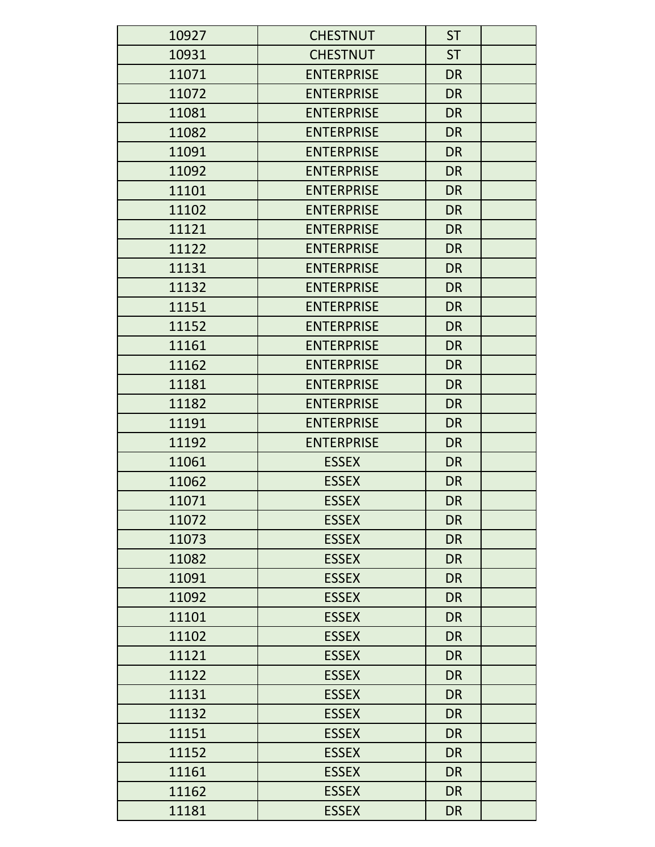| 10927 | <b>CHESTNUT</b>   | <b>ST</b> |
|-------|-------------------|-----------|
| 10931 | <b>CHESTNUT</b>   | <b>ST</b> |
| 11071 | <b>ENTERPRISE</b> | <b>DR</b> |
| 11072 | <b>ENTERPRISE</b> | <b>DR</b> |
| 11081 | <b>ENTERPRISE</b> | <b>DR</b> |
| 11082 | <b>ENTERPRISE</b> | <b>DR</b> |
| 11091 | <b>ENTERPRISE</b> | <b>DR</b> |
| 11092 | <b>ENTERPRISE</b> | <b>DR</b> |
| 11101 | <b>ENTERPRISE</b> | <b>DR</b> |
| 11102 | <b>ENTERPRISE</b> | <b>DR</b> |
| 11121 | <b>ENTERPRISE</b> | <b>DR</b> |
| 11122 | <b>ENTERPRISE</b> | <b>DR</b> |
| 11131 | <b>ENTERPRISE</b> | <b>DR</b> |
| 11132 | <b>ENTERPRISE</b> | <b>DR</b> |
| 11151 | <b>ENTERPRISE</b> | <b>DR</b> |
| 11152 | <b>ENTERPRISE</b> | <b>DR</b> |
| 11161 | <b>ENTERPRISE</b> | <b>DR</b> |
| 11162 | <b>ENTERPRISE</b> | <b>DR</b> |
| 11181 | <b>ENTERPRISE</b> | <b>DR</b> |
| 11182 | <b>ENTERPRISE</b> | <b>DR</b> |
| 11191 | <b>ENTERPRISE</b> | <b>DR</b> |
| 11192 | <b>ENTERPRISE</b> | <b>DR</b> |
| 11061 | <b>ESSEX</b>      | <b>DR</b> |
| 11062 | <b>ESSEX</b>      | <b>DR</b> |
| 11071 | <b>ESSEX</b>      | <b>DR</b> |
| 11072 | <b>ESSEX</b>      | <b>DR</b> |
| 11073 | <b>ESSEX</b>      | <b>DR</b> |
| 11082 | <b>ESSEX</b>      | <b>DR</b> |
| 11091 | <b>ESSEX</b>      | <b>DR</b> |
| 11092 | <b>ESSEX</b>      | <b>DR</b> |
| 11101 | <b>ESSEX</b>      | <b>DR</b> |
| 11102 | <b>ESSEX</b>      | <b>DR</b> |
| 11121 | <b>ESSEX</b>      | <b>DR</b> |
| 11122 | <b>ESSEX</b>      | <b>DR</b> |
| 11131 | <b>ESSEX</b>      | <b>DR</b> |
| 11132 | <b>ESSEX</b>      | <b>DR</b> |
| 11151 | <b>ESSEX</b>      | <b>DR</b> |
| 11152 | <b>ESSEX</b>      | <b>DR</b> |
| 11161 | <b>ESSEX</b>      | <b>DR</b> |
| 11162 | <b>ESSEX</b>      | <b>DR</b> |
| 11181 | <b>ESSEX</b>      | <b>DR</b> |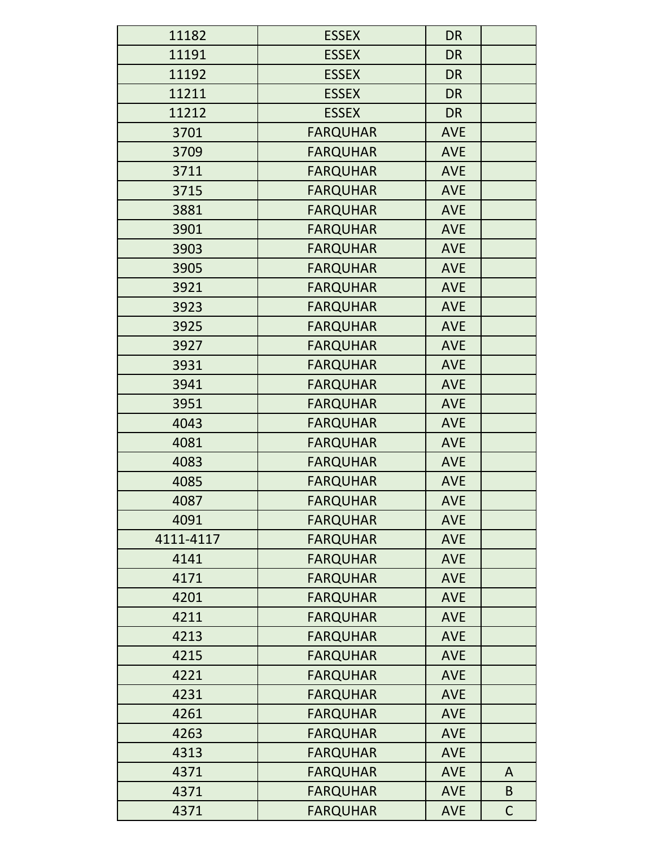| 11182     | <b>ESSEX</b>    | <b>DR</b>  |             |
|-----------|-----------------|------------|-------------|
| 11191     | <b>ESSEX</b>    | <b>DR</b>  |             |
| 11192     | <b>ESSEX</b>    | <b>DR</b>  |             |
| 11211     | <b>ESSEX</b>    | <b>DR</b>  |             |
| 11212     | <b>ESSEX</b>    | <b>DR</b>  |             |
| 3701      | <b>FARQUHAR</b> | <b>AVE</b> |             |
| 3709      | <b>FARQUHAR</b> | <b>AVE</b> |             |
| 3711      | <b>FARQUHAR</b> | <b>AVE</b> |             |
| 3715      | <b>FARQUHAR</b> | <b>AVE</b> |             |
| 3881      | <b>FARQUHAR</b> | <b>AVE</b> |             |
| 3901      | <b>FARQUHAR</b> | <b>AVE</b> |             |
| 3903      | <b>FARQUHAR</b> | <b>AVE</b> |             |
| 3905      | <b>FARQUHAR</b> | <b>AVE</b> |             |
| 3921      | <b>FARQUHAR</b> | <b>AVE</b> |             |
| 3923      | <b>FARQUHAR</b> | <b>AVE</b> |             |
| 3925      | <b>FARQUHAR</b> | <b>AVE</b> |             |
| 3927      | <b>FARQUHAR</b> | <b>AVE</b> |             |
| 3931      | <b>FARQUHAR</b> | <b>AVE</b> |             |
| 3941      | <b>FARQUHAR</b> | <b>AVE</b> |             |
| 3951      | <b>FARQUHAR</b> | <b>AVE</b> |             |
| 4043      | <b>FARQUHAR</b> | <b>AVE</b> |             |
| 4081      | <b>FARQUHAR</b> | <b>AVE</b> |             |
| 4083      | <b>FARQUHAR</b> | <b>AVE</b> |             |
| 4085      | <b>FARQUHAR</b> | <b>AVE</b> |             |
| 4087      | <b>FARQUHAR</b> | <b>AVE</b> |             |
| 4091      | <b>FARQUHAR</b> | <b>AVE</b> |             |
| 4111-4117 | <b>FARQUHAR</b> | <b>AVE</b> |             |
| 4141      | <b>FARQUHAR</b> | <b>AVE</b> |             |
| 4171      | <b>FARQUHAR</b> | <b>AVE</b> |             |
| 4201      | <b>FARQUHAR</b> | <b>AVE</b> |             |
| 4211      | <b>FARQUHAR</b> | <b>AVE</b> |             |
| 4213      | <b>FARQUHAR</b> | <b>AVE</b> |             |
| 4215      | <b>FARQUHAR</b> | <b>AVE</b> |             |
| 4221      | <b>FARQUHAR</b> | <b>AVE</b> |             |
| 4231      | <b>FARQUHAR</b> | <b>AVE</b> |             |
| 4261      | <b>FARQUHAR</b> | <b>AVE</b> |             |
| 4263      | <b>FARQUHAR</b> | <b>AVE</b> |             |
| 4313      | <b>FARQUHAR</b> | <b>AVE</b> |             |
| 4371      | <b>FARQUHAR</b> | <b>AVE</b> | A           |
| 4371      | <b>FARQUHAR</b> | <b>AVE</b> | B           |
| 4371      | <b>FARQUHAR</b> | <b>AVE</b> | $\mathsf C$ |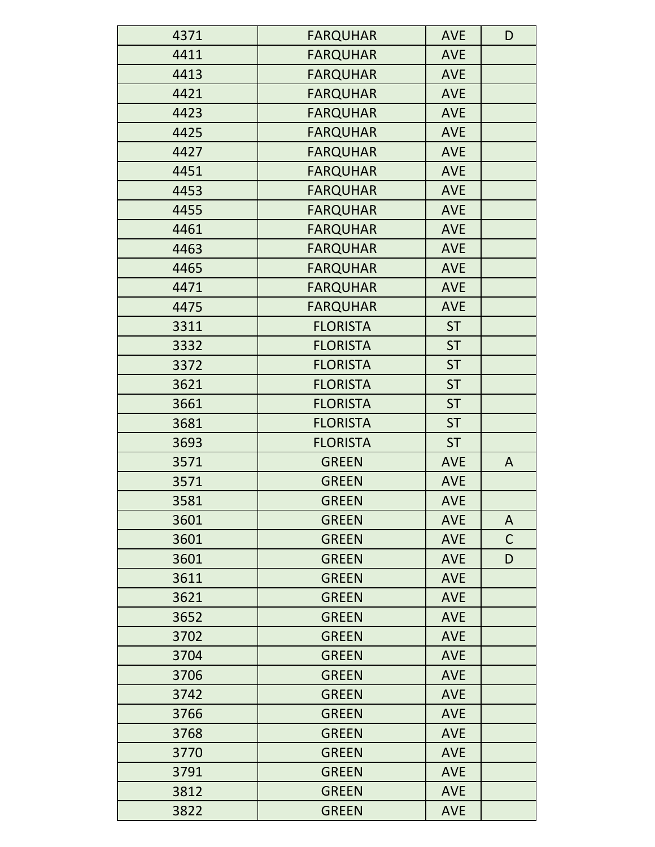| 4371 | <b>FARQUHAR</b> | <b>AVE</b> | D            |
|------|-----------------|------------|--------------|
| 4411 | <b>FARQUHAR</b> | <b>AVE</b> |              |
| 4413 | <b>FARQUHAR</b> | AVE        |              |
| 4421 | <b>FARQUHAR</b> | <b>AVE</b> |              |
| 4423 | <b>FARQUHAR</b> | <b>AVE</b> |              |
| 4425 | <b>FARQUHAR</b> | <b>AVE</b> |              |
| 4427 | <b>FARQUHAR</b> | <b>AVE</b> |              |
| 4451 | <b>FARQUHAR</b> | <b>AVE</b> |              |
| 4453 | <b>FARQUHAR</b> | <b>AVE</b> |              |
| 4455 | <b>FARQUHAR</b> | <b>AVE</b> |              |
| 4461 | <b>FARQUHAR</b> | <b>AVE</b> |              |
| 4463 | <b>FARQUHAR</b> | <b>AVE</b> |              |
| 4465 | <b>FARQUHAR</b> | <b>AVE</b> |              |
| 4471 | <b>FARQUHAR</b> | <b>AVE</b> |              |
| 4475 | <b>FARQUHAR</b> | <b>AVE</b> |              |
| 3311 | <b>FLORISTA</b> | <b>ST</b>  |              |
| 3332 | <b>FLORISTA</b> | <b>ST</b>  |              |
| 3372 | <b>FLORISTA</b> | <b>ST</b>  |              |
| 3621 | <b>FLORISTA</b> | <b>ST</b>  |              |
| 3661 | <b>FLORISTA</b> | <b>ST</b>  |              |
| 3681 | <b>FLORISTA</b> | <b>ST</b>  |              |
| 3693 | <b>FLORISTA</b> | <b>ST</b>  |              |
| 3571 | <b>GREEN</b>    | <b>AVE</b> | A            |
| 3571 | <b>GREEN</b>    | <b>AVE</b> |              |
| 3581 | <b>GREEN</b>    | <b>AVE</b> |              |
| 3601 | <b>GREEN</b>    | <b>AVE</b> | A            |
| 3601 | <b>GREEN</b>    | <b>AVE</b> | $\mathsf{C}$ |
| 3601 | <b>GREEN</b>    | <b>AVE</b> | D            |
| 3611 | <b>GREEN</b>    | <b>AVE</b> |              |
| 3621 | <b>GREEN</b>    | <b>AVE</b> |              |
| 3652 | <b>GREEN</b>    | <b>AVE</b> |              |
| 3702 | <b>GREEN</b>    | <b>AVE</b> |              |
| 3704 | <b>GREEN</b>    | <b>AVE</b> |              |
| 3706 | <b>GREEN</b>    | <b>AVE</b> |              |
| 3742 | <b>GREEN</b>    | <b>AVE</b> |              |
| 3766 | <b>GREEN</b>    | <b>AVE</b> |              |
| 3768 | <b>GREEN</b>    | <b>AVE</b> |              |
| 3770 | <b>GREEN</b>    | <b>AVE</b> |              |
| 3791 | <b>GREEN</b>    | <b>AVE</b> |              |
| 3812 | <b>GREEN</b>    | <b>AVE</b> |              |
| 3822 | <b>GREEN</b>    | <b>AVE</b> |              |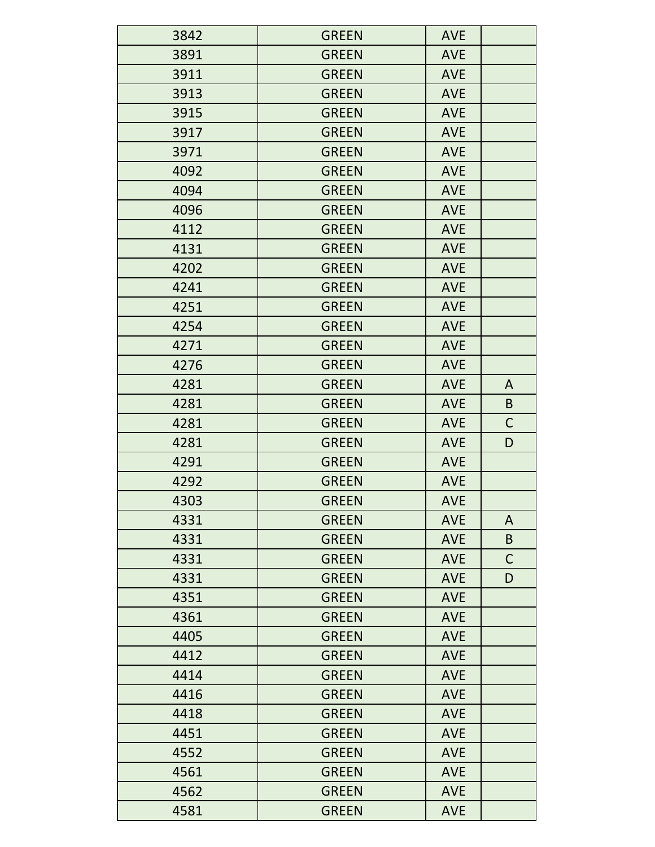| 3842 | <b>GREEN</b> | <b>AVE</b> |              |
|------|--------------|------------|--------------|
| 3891 | <b>GREEN</b> | <b>AVE</b> |              |
| 3911 | <b>GREEN</b> | <b>AVE</b> |              |
| 3913 | <b>GREEN</b> | <b>AVE</b> |              |
| 3915 | <b>GREEN</b> | <b>AVE</b> |              |
| 3917 | <b>GREEN</b> | <b>AVE</b> |              |
| 3971 | <b>GREEN</b> | <b>AVE</b> |              |
| 4092 | <b>GREEN</b> | <b>AVE</b> |              |
| 4094 | <b>GREEN</b> | <b>AVE</b> |              |
| 4096 | <b>GREEN</b> | <b>AVE</b> |              |
| 4112 | <b>GREEN</b> | <b>AVE</b> |              |
| 4131 | <b>GREEN</b> | <b>AVE</b> |              |
| 4202 | <b>GREEN</b> | <b>AVE</b> |              |
| 4241 | <b>GREEN</b> | <b>AVE</b> |              |
| 4251 | <b>GREEN</b> | <b>AVE</b> |              |
| 4254 | <b>GREEN</b> | <b>AVE</b> |              |
| 4271 | <b>GREEN</b> | <b>AVE</b> |              |
| 4276 | <b>GREEN</b> | <b>AVE</b> |              |
| 4281 | <b>GREEN</b> | <b>AVE</b> | $\mathsf{A}$ |
| 4281 | <b>GREEN</b> | <b>AVE</b> | B            |
| 4281 | <b>GREEN</b> | <b>AVE</b> | $\mathsf C$  |
| 4281 | <b>GREEN</b> | <b>AVE</b> | D            |
| 4291 | <b>GREEN</b> | <b>AVE</b> |              |
| 4292 | <b>GREEN</b> | <b>AVE</b> |              |
| 4303 | <b>GREEN</b> | <b>AVE</b> |              |
| 4331 | <b>GREEN</b> | <b>AVE</b> | A            |
| 4331 | <b>GREEN</b> | <b>AVE</b> | B            |
| 4331 | <b>GREEN</b> | <b>AVE</b> | $\mathsf{C}$ |
| 4331 | <b>GREEN</b> | <b>AVE</b> | D            |
| 4351 | <b>GREEN</b> | <b>AVE</b> |              |
| 4361 | <b>GREEN</b> | <b>AVE</b> |              |
| 4405 | <b>GREEN</b> | <b>AVE</b> |              |
| 4412 | <b>GREEN</b> | <b>AVE</b> |              |
| 4414 | <b>GREEN</b> | <b>AVE</b> |              |
| 4416 | <b>GREEN</b> | <b>AVE</b> |              |
| 4418 | <b>GREEN</b> | <b>AVE</b> |              |
| 4451 | <b>GREEN</b> | <b>AVE</b> |              |
| 4552 | <b>GREEN</b> | <b>AVE</b> |              |
| 4561 | <b>GREEN</b> | <b>AVE</b> |              |
| 4562 | <b>GREEN</b> | <b>AVE</b> |              |
| 4581 | <b>GREEN</b> | <b>AVE</b> |              |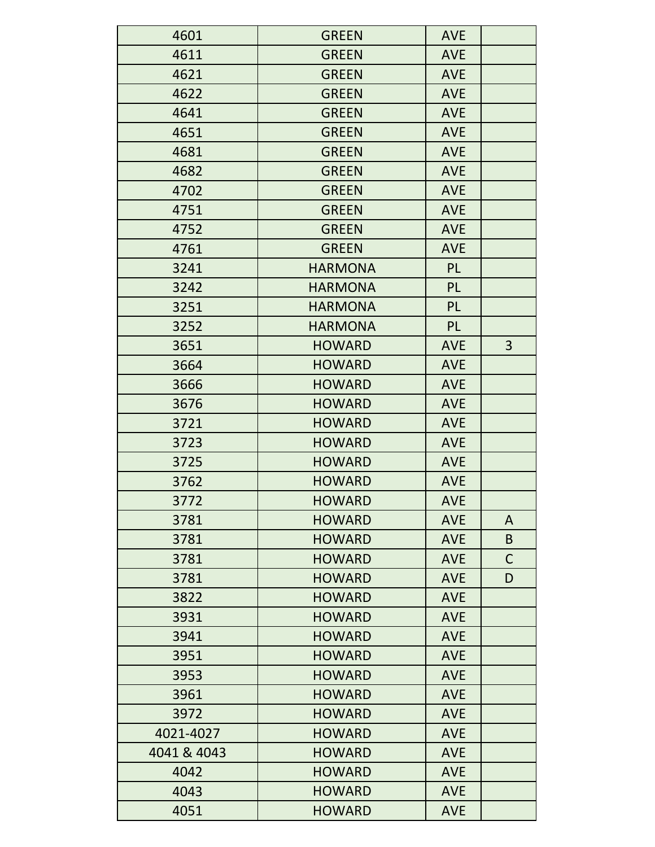| 4601        | <b>GREEN</b>   | <b>AVE</b> |                |
|-------------|----------------|------------|----------------|
| 4611        | <b>GREEN</b>   | <b>AVE</b> |                |
| 4621        | <b>GREEN</b>   | <b>AVE</b> |                |
| 4622        | <b>GREEN</b>   | <b>AVE</b> |                |
| 4641        | <b>GREEN</b>   | <b>AVE</b> |                |
| 4651        | <b>GREEN</b>   | <b>AVE</b> |                |
| 4681        | <b>GREEN</b>   | <b>AVE</b> |                |
| 4682        | <b>GREEN</b>   | <b>AVE</b> |                |
| 4702        | <b>GREEN</b>   | <b>AVE</b> |                |
| 4751        | <b>GREEN</b>   | <b>AVE</b> |                |
| 4752        | <b>GREEN</b>   | <b>AVE</b> |                |
| 4761        | <b>GREEN</b>   | <b>AVE</b> |                |
| 3241        | <b>HARMONA</b> | <b>PL</b>  |                |
| 3242        | <b>HARMONA</b> | <b>PL</b>  |                |
| 3251        | <b>HARMONA</b> | <b>PL</b>  |                |
| 3252        | <b>HARMONA</b> | <b>PL</b>  |                |
| 3651        | <b>HOWARD</b>  | <b>AVE</b> | $\overline{3}$ |
| 3664        | <b>HOWARD</b>  | <b>AVE</b> |                |
| 3666        | <b>HOWARD</b>  | <b>AVE</b> |                |
| 3676        | <b>HOWARD</b>  | <b>AVE</b> |                |
| 3721        | <b>HOWARD</b>  | <b>AVE</b> |                |
| 3723        | <b>HOWARD</b>  | <b>AVE</b> |                |
| 3725        | <b>HOWARD</b>  | <b>AVE</b> |                |
| 3762        | <b>HOWARD</b>  | <b>AVE</b> |                |
| 3772        | <b>HOWARD</b>  | <b>AVE</b> |                |
| 3781        | <b>HOWARD</b>  | <b>AVE</b> | A              |
| 3781        | <b>HOWARD</b>  | <b>AVE</b> | B              |
| 3781        | <b>HOWARD</b>  | <b>AVE</b> | C              |
| 3781        | <b>HOWARD</b>  | <b>AVE</b> | D              |
| 3822        | <b>HOWARD</b>  | <b>AVE</b> |                |
| 3931        | <b>HOWARD</b>  | <b>AVE</b> |                |
| 3941        | <b>HOWARD</b>  | <b>AVE</b> |                |
| 3951        | <b>HOWARD</b>  | <b>AVE</b> |                |
| 3953        | <b>HOWARD</b>  | <b>AVE</b> |                |
| 3961        | <b>HOWARD</b>  | <b>AVE</b> |                |
| 3972        | <b>HOWARD</b>  | <b>AVE</b> |                |
| 4021-4027   | <b>HOWARD</b>  | <b>AVE</b> |                |
| 4041 & 4043 | <b>HOWARD</b>  | <b>AVE</b> |                |
| 4042        | <b>HOWARD</b>  | <b>AVE</b> |                |
| 4043        | <b>HOWARD</b>  | <b>AVE</b> |                |
| 4051        | <b>HOWARD</b>  | <b>AVE</b> |                |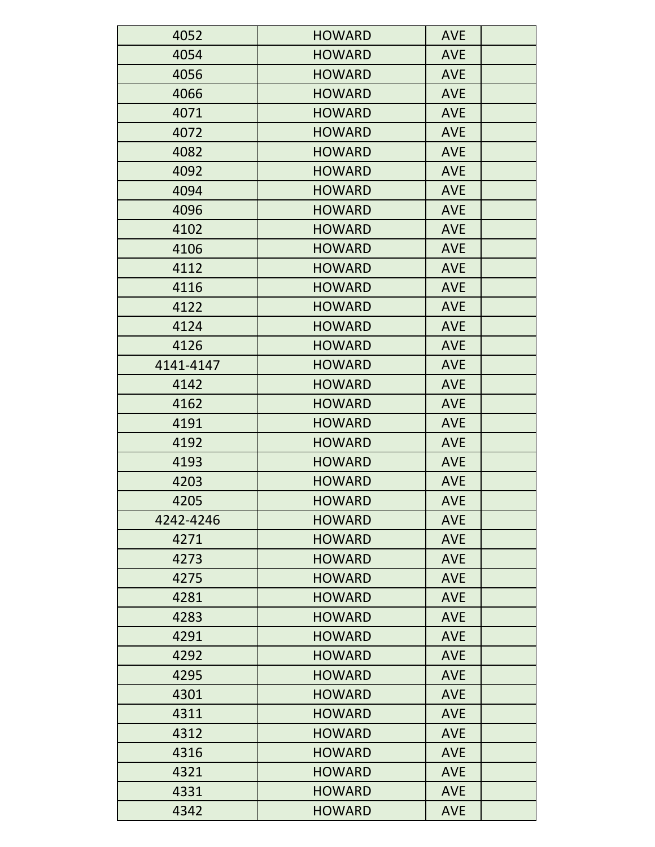| 4052      | <b>HOWARD</b> | <b>AVE</b> |
|-----------|---------------|------------|
| 4054      | <b>HOWARD</b> | <b>AVE</b> |
| 4056      | <b>HOWARD</b> | <b>AVE</b> |
| 4066      | <b>HOWARD</b> | <b>AVE</b> |
| 4071      | <b>HOWARD</b> | <b>AVE</b> |
| 4072      | <b>HOWARD</b> | <b>AVE</b> |
| 4082      | <b>HOWARD</b> | <b>AVE</b> |
| 4092      | <b>HOWARD</b> | <b>AVE</b> |
| 4094      | <b>HOWARD</b> | <b>AVE</b> |
| 4096      | <b>HOWARD</b> | <b>AVE</b> |
| 4102      | <b>HOWARD</b> | <b>AVE</b> |
| 4106      | <b>HOWARD</b> | <b>AVE</b> |
| 4112      | <b>HOWARD</b> | <b>AVE</b> |
| 4116      | <b>HOWARD</b> | <b>AVE</b> |
| 4122      | <b>HOWARD</b> | <b>AVE</b> |
| 4124      | <b>HOWARD</b> | <b>AVE</b> |
| 4126      | <b>HOWARD</b> | <b>AVE</b> |
| 4141-4147 | <b>HOWARD</b> | <b>AVE</b> |
| 4142      | <b>HOWARD</b> | <b>AVE</b> |
| 4162      | <b>HOWARD</b> | <b>AVE</b> |
| 4191      | <b>HOWARD</b> | <b>AVE</b> |
| 4192      | <b>HOWARD</b> | <b>AVE</b> |
| 4193      | <b>HOWARD</b> | <b>AVE</b> |
| 4203      | <b>HOWARD</b> | <b>AVE</b> |
| 4205      | <b>HOWARD</b> | <b>AVE</b> |
| 4242-4246 | <b>HOWARD</b> | <b>AVE</b> |
| 4271      | <b>HOWARD</b> | <b>AVE</b> |
| 4273      | <b>HOWARD</b> | <b>AVE</b> |
| 4275      | <b>HOWARD</b> | <b>AVE</b> |
| 4281      | <b>HOWARD</b> | <b>AVE</b> |
| 4283      | <b>HOWARD</b> | <b>AVE</b> |
| 4291      | <b>HOWARD</b> | <b>AVE</b> |
| 4292      | <b>HOWARD</b> | <b>AVE</b> |
| 4295      | <b>HOWARD</b> | <b>AVE</b> |
| 4301      | <b>HOWARD</b> | <b>AVE</b> |
| 4311      | <b>HOWARD</b> | <b>AVE</b> |
| 4312      | <b>HOWARD</b> | <b>AVE</b> |
| 4316      | <b>HOWARD</b> | <b>AVE</b> |
| 4321      | <b>HOWARD</b> | <b>AVE</b> |
| 4331      | <b>HOWARD</b> | <b>AVE</b> |
| 4342      | <b>HOWARD</b> | <b>AVE</b> |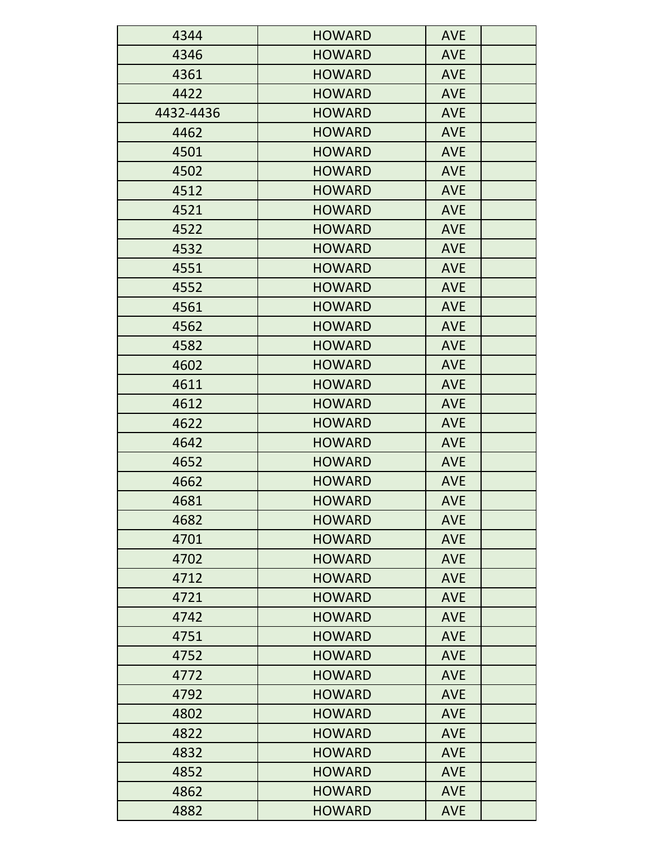| 4344      | <b>HOWARD</b> | <b>AVE</b> |
|-----------|---------------|------------|
| 4346      | <b>HOWARD</b> | <b>AVE</b> |
| 4361      | <b>HOWARD</b> | <b>AVE</b> |
| 4422      | <b>HOWARD</b> | <b>AVE</b> |
| 4432-4436 | <b>HOWARD</b> | <b>AVE</b> |
| 4462      | <b>HOWARD</b> | <b>AVE</b> |
| 4501      | <b>HOWARD</b> | <b>AVE</b> |
| 4502      | <b>HOWARD</b> | <b>AVE</b> |
| 4512      | <b>HOWARD</b> | <b>AVE</b> |
| 4521      | <b>HOWARD</b> | <b>AVE</b> |
| 4522      | <b>HOWARD</b> | <b>AVE</b> |
| 4532      | <b>HOWARD</b> | <b>AVE</b> |
| 4551      | <b>HOWARD</b> | <b>AVE</b> |
| 4552      | <b>HOWARD</b> | <b>AVE</b> |
| 4561      | <b>HOWARD</b> | <b>AVE</b> |
| 4562      | <b>HOWARD</b> | <b>AVE</b> |
| 4582      | <b>HOWARD</b> | <b>AVE</b> |
| 4602      | <b>HOWARD</b> | <b>AVE</b> |
| 4611      | <b>HOWARD</b> | <b>AVE</b> |
| 4612      | <b>HOWARD</b> | <b>AVE</b> |
| 4622      | <b>HOWARD</b> | <b>AVE</b> |
| 4642      | <b>HOWARD</b> | <b>AVE</b> |
| 4652      | <b>HOWARD</b> | <b>AVE</b> |
| 4662      | <b>HOWARD</b> | <b>AVE</b> |
| 4681      | <b>HOWARD</b> | <b>AVE</b> |
| 4682      | <b>HOWARD</b> | <b>AVE</b> |
| 4701      | <b>HOWARD</b> | <b>AVE</b> |
| 4702      | <b>HOWARD</b> | <b>AVE</b> |
| 4712      | <b>HOWARD</b> | <b>AVE</b> |
| 4721      | <b>HOWARD</b> | <b>AVE</b> |
| 4742      | <b>HOWARD</b> | <b>AVE</b> |
| 4751      | <b>HOWARD</b> | <b>AVE</b> |
| 4752      | <b>HOWARD</b> | <b>AVE</b> |
| 4772      | <b>HOWARD</b> | <b>AVE</b> |
| 4792      | <b>HOWARD</b> | <b>AVE</b> |
| 4802      | <b>HOWARD</b> | <b>AVE</b> |
| 4822      | <b>HOWARD</b> | <b>AVE</b> |
| 4832      | <b>HOWARD</b> | <b>AVE</b> |
| 4852      | <b>HOWARD</b> | <b>AVE</b> |
| 4862      | <b>HOWARD</b> | <b>AVE</b> |
| 4882      | <b>HOWARD</b> | <b>AVE</b> |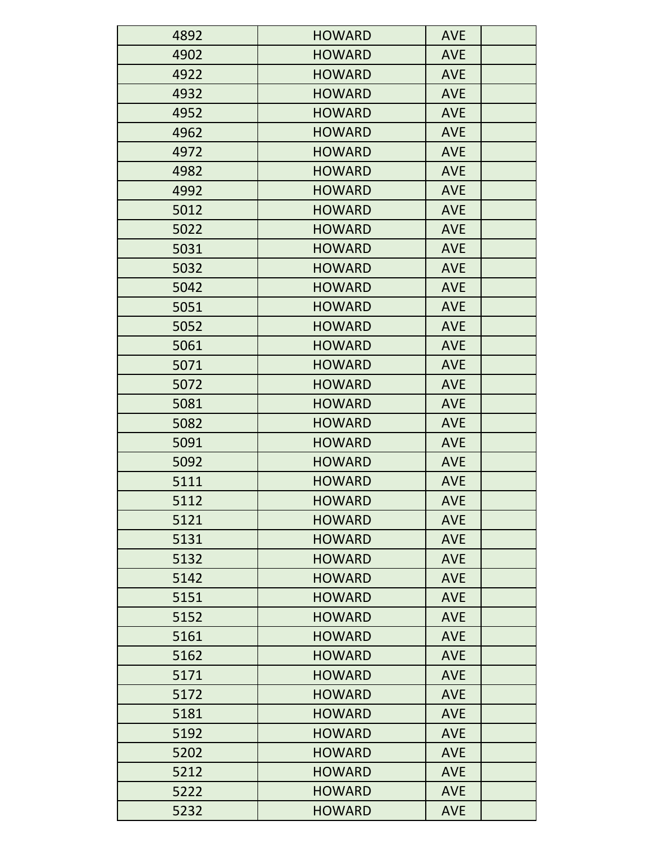| 4892 | <b>HOWARD</b> | <b>AVE</b> |
|------|---------------|------------|
| 4902 | <b>HOWARD</b> | <b>AVE</b> |
| 4922 | <b>HOWARD</b> | <b>AVE</b> |
| 4932 | <b>HOWARD</b> | <b>AVE</b> |
| 4952 | <b>HOWARD</b> | <b>AVE</b> |
| 4962 | <b>HOWARD</b> | <b>AVE</b> |
| 4972 | <b>HOWARD</b> | <b>AVE</b> |
| 4982 | <b>HOWARD</b> | <b>AVE</b> |
| 4992 | <b>HOWARD</b> | <b>AVE</b> |
| 5012 | <b>HOWARD</b> | <b>AVE</b> |
| 5022 | <b>HOWARD</b> | <b>AVE</b> |
| 5031 | <b>HOWARD</b> | <b>AVE</b> |
| 5032 | <b>HOWARD</b> | <b>AVE</b> |
| 5042 | <b>HOWARD</b> | <b>AVE</b> |
| 5051 | <b>HOWARD</b> | <b>AVE</b> |
| 5052 | <b>HOWARD</b> | <b>AVE</b> |
| 5061 | <b>HOWARD</b> | <b>AVE</b> |
| 5071 | <b>HOWARD</b> | <b>AVE</b> |
| 5072 | <b>HOWARD</b> | <b>AVE</b> |
| 5081 | <b>HOWARD</b> | <b>AVE</b> |
| 5082 | <b>HOWARD</b> | <b>AVE</b> |
| 5091 | <b>HOWARD</b> | <b>AVE</b> |
| 5092 | <b>HOWARD</b> | <b>AVE</b> |
| 5111 | <b>HOWARD</b> | <b>AVE</b> |
| 5112 | <b>HOWARD</b> | <b>AVE</b> |
| 5121 | <b>HOWARD</b> | <b>AVE</b> |
| 5131 | <b>HOWARD</b> | <b>AVE</b> |
| 5132 | <b>HOWARD</b> | <b>AVE</b> |
| 5142 | <b>HOWARD</b> | <b>AVE</b> |
| 5151 | <b>HOWARD</b> | <b>AVE</b> |
| 5152 | <b>HOWARD</b> | <b>AVE</b> |
| 5161 | <b>HOWARD</b> | <b>AVE</b> |
| 5162 | <b>HOWARD</b> | <b>AVE</b> |
| 5171 | <b>HOWARD</b> | <b>AVE</b> |
| 5172 | <b>HOWARD</b> | <b>AVE</b> |
| 5181 | <b>HOWARD</b> | <b>AVE</b> |
| 5192 | <b>HOWARD</b> | <b>AVE</b> |
| 5202 | <b>HOWARD</b> | <b>AVE</b> |
| 5212 | <b>HOWARD</b> | <b>AVE</b> |
| 5222 | <b>HOWARD</b> | <b>AVE</b> |
| 5232 | <b>HOWARD</b> | <b>AVE</b> |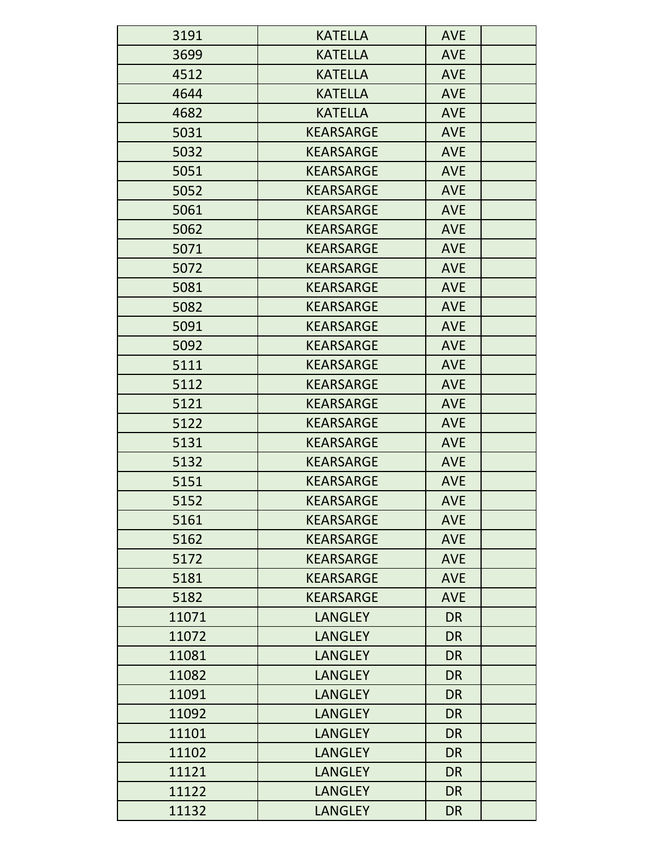| 3191  | <b>KATELLA</b>   | <b>AVE</b> |
|-------|------------------|------------|
| 3699  | <b>KATELLA</b>   | <b>AVE</b> |
| 4512  | <b>KATELLA</b>   | <b>AVE</b> |
| 4644  | <b>KATELLA</b>   | <b>AVE</b> |
| 4682  | <b>KATELLA</b>   | <b>AVE</b> |
| 5031  | <b>KEARSARGE</b> | <b>AVE</b> |
| 5032  | <b>KEARSARGE</b> | <b>AVE</b> |
| 5051  | <b>KEARSARGE</b> | <b>AVE</b> |
| 5052  | <b>KEARSARGE</b> | <b>AVE</b> |
| 5061  | <b>KEARSARGE</b> | <b>AVE</b> |
| 5062  | <b>KEARSARGE</b> | <b>AVE</b> |
| 5071  | <b>KEARSARGE</b> | <b>AVE</b> |
| 5072  | <b>KEARSARGE</b> | <b>AVE</b> |
| 5081  | <b>KEARSARGE</b> | <b>AVE</b> |
| 5082  | <b>KEARSARGE</b> | <b>AVE</b> |
| 5091  | <b>KEARSARGE</b> | <b>AVE</b> |
| 5092  | <b>KEARSARGE</b> | <b>AVE</b> |
| 5111  | <b>KEARSARGE</b> | <b>AVE</b> |
| 5112  | <b>KEARSARGE</b> | <b>AVE</b> |
| 5121  | <b>KEARSARGE</b> | <b>AVE</b> |
| 5122  | <b>KEARSARGE</b> | <b>AVE</b> |
| 5131  | <b>KEARSARGE</b> | <b>AVE</b> |
| 5132  | <b>KEARSARGE</b> | <b>AVE</b> |
| 5151  | <b>KEARSARGE</b> | <b>AVE</b> |
| 5152  | <b>KEARSARGE</b> | <b>AVE</b> |
| 5161  | <b>KEARSARGE</b> | <b>AVE</b> |
| 5162  | <b>KEARSARGE</b> | <b>AVE</b> |
| 5172  | <b>KEARSARGE</b> | <b>AVE</b> |
| 5181  | <b>KEARSARGE</b> | <b>AVE</b> |
| 5182  | <b>KEARSARGE</b> | <b>AVE</b> |
| 11071 | <b>LANGLEY</b>   | <b>DR</b>  |
| 11072 | <b>LANGLEY</b>   | <b>DR</b>  |
| 11081 | <b>LANGLEY</b>   | <b>DR</b>  |
| 11082 | <b>LANGLEY</b>   | <b>DR</b>  |
| 11091 | <b>LANGLEY</b>   | <b>DR</b>  |
| 11092 | <b>LANGLEY</b>   | <b>DR</b>  |
| 11101 | <b>LANGLEY</b>   | <b>DR</b>  |
| 11102 | <b>LANGLEY</b>   | <b>DR</b>  |
| 11121 | <b>LANGLEY</b>   | <b>DR</b>  |
| 11122 | <b>LANGLEY</b>   | <b>DR</b>  |
| 11132 | <b>LANGLEY</b>   | <b>DR</b>  |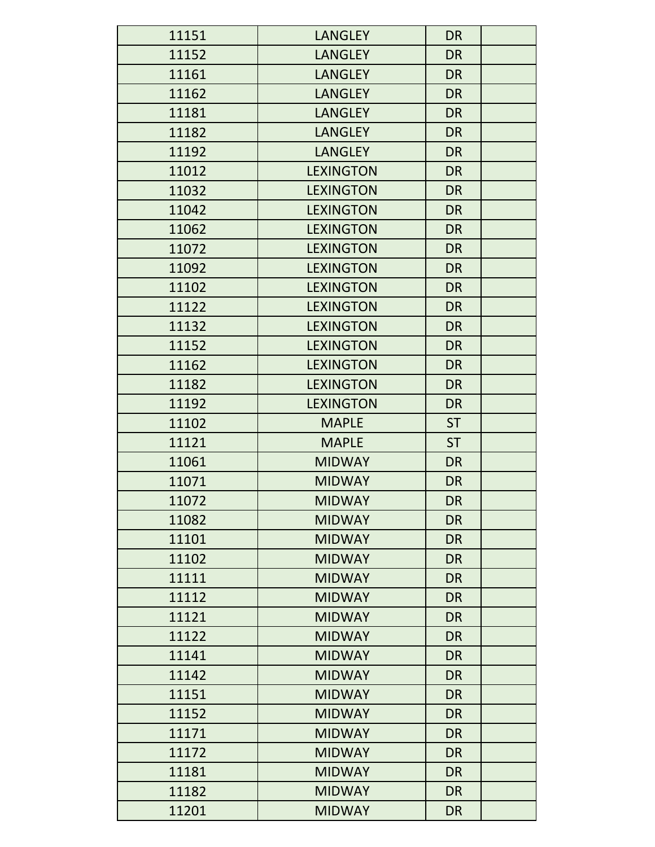| 11151 | <b>LANGLEY</b>   | <b>DR</b> |
|-------|------------------|-----------|
| 11152 | <b>LANGLEY</b>   | <b>DR</b> |
| 11161 | <b>LANGLEY</b>   | <b>DR</b> |
| 11162 | <b>LANGLEY</b>   | <b>DR</b> |
| 11181 | <b>LANGLEY</b>   | <b>DR</b> |
| 11182 | <b>LANGLEY</b>   | <b>DR</b> |
| 11192 | <b>LANGLEY</b>   | <b>DR</b> |
| 11012 | <b>LEXINGTON</b> | <b>DR</b> |
| 11032 | <b>LEXINGTON</b> | <b>DR</b> |
| 11042 | <b>LEXINGTON</b> | <b>DR</b> |
| 11062 | <b>LEXINGTON</b> | <b>DR</b> |
| 11072 | <b>LEXINGTON</b> | <b>DR</b> |
| 11092 | <b>LEXINGTON</b> | <b>DR</b> |
| 11102 | <b>LEXINGTON</b> | <b>DR</b> |
| 11122 | <b>LEXINGTON</b> | <b>DR</b> |
| 11132 | <b>LEXINGTON</b> | <b>DR</b> |
| 11152 | <b>LEXINGTON</b> | <b>DR</b> |
| 11162 | <b>LEXINGTON</b> | <b>DR</b> |
| 11182 | <b>LEXINGTON</b> | <b>DR</b> |
| 11192 | <b>LEXINGTON</b> | <b>DR</b> |
| 11102 | <b>MAPLE</b>     | <b>ST</b> |
| 11121 | <b>MAPLE</b>     | <b>ST</b> |
| 11061 | <b>MIDWAY</b>    | <b>DR</b> |
| 11071 | <b>MIDWAY</b>    | <b>DR</b> |
| 11072 | <b>MIDWAY</b>    | <b>DR</b> |
| 11082 | <b>MIDWAY</b>    | <b>DR</b> |
| 11101 | <b>MIDWAY</b>    | <b>DR</b> |
| 11102 | <b>MIDWAY</b>    | <b>DR</b> |
| 11111 | <b>MIDWAY</b>    | <b>DR</b> |
| 11112 | <b>MIDWAY</b>    | <b>DR</b> |
| 11121 | <b>MIDWAY</b>    | <b>DR</b> |
| 11122 | <b>MIDWAY</b>    | <b>DR</b> |
| 11141 | <b>MIDWAY</b>    | <b>DR</b> |
| 11142 | <b>MIDWAY</b>    | <b>DR</b> |
| 11151 | <b>MIDWAY</b>    | <b>DR</b> |
| 11152 | <b>MIDWAY</b>    | <b>DR</b> |
| 11171 | <b>MIDWAY</b>    | <b>DR</b> |
| 11172 | <b>MIDWAY</b>    | <b>DR</b> |
| 11181 | <b>MIDWAY</b>    | <b>DR</b> |
| 11182 | <b>MIDWAY</b>    | <b>DR</b> |
| 11201 | <b>MIDWAY</b>    | <b>DR</b> |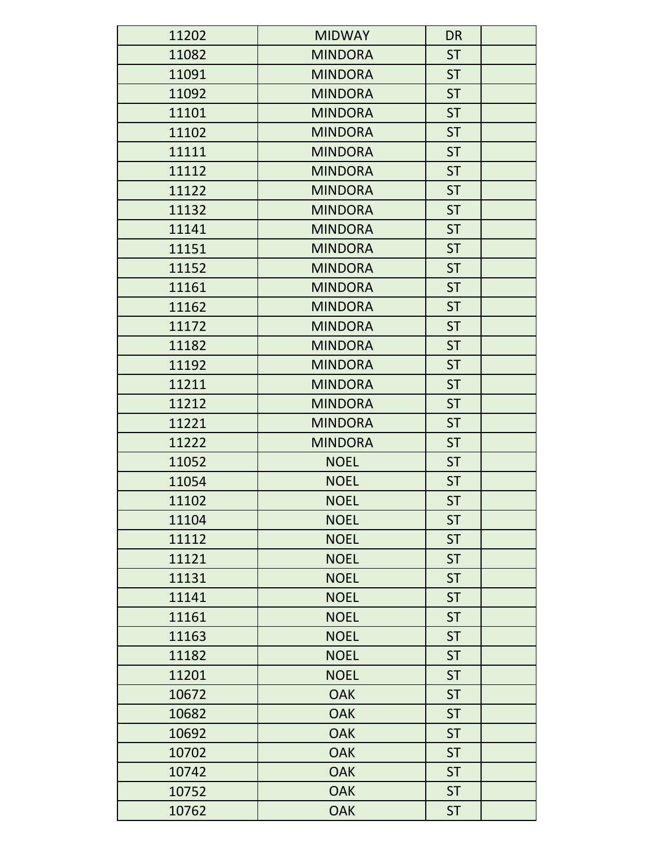| 11202 | <b>MIDWAY</b>  | <b>DR</b> |
|-------|----------------|-----------|
| 11082 | <b>MINDORA</b> | <b>ST</b> |
| 11091 | <b>MINDORA</b> | <b>ST</b> |
| 11092 | <b>MINDORA</b> | <b>ST</b> |
| 11101 | <b>MINDORA</b> | <b>ST</b> |
| 11102 | <b>MINDORA</b> | <b>ST</b> |
| 11111 | <b>MINDORA</b> | <b>ST</b> |
| 11112 | <b>MINDORA</b> | <b>ST</b> |
| 11122 | <b>MINDORA</b> | <b>ST</b> |
| 11132 | <b>MINDORA</b> | <b>ST</b> |
| 11141 | <b>MINDORA</b> | <b>ST</b> |
| 11151 | <b>MINDORA</b> | <b>ST</b> |
| 11152 | <b>MINDORA</b> | <b>ST</b> |
| 11161 | <b>MINDORA</b> | <b>ST</b> |
| 11162 | <b>MINDORA</b> | <b>ST</b> |
| 11172 | <b>MINDORA</b> | <b>ST</b> |
| 11182 | <b>MINDORA</b> | <b>ST</b> |
| 11192 | <b>MINDORA</b> | <b>ST</b> |
| 11211 | <b>MINDORA</b> | <b>ST</b> |
| 11212 | <b>MINDORA</b> | <b>ST</b> |
| 11221 | <b>MINDORA</b> | <b>ST</b> |
| 11222 | <b>MINDORA</b> | <b>ST</b> |
| 11052 | <b>NOEL</b>    | <b>ST</b> |
| 11054 | <b>NOEL</b>    | <b>ST</b> |
| 11102 | <b>NOEL</b>    | <b>ST</b> |
| 11104 | <b>NOEL</b>    | <b>ST</b> |
| 11112 | <b>NOEL</b>    | <b>ST</b> |
| 11121 | <b>NOEL</b>    | <b>ST</b> |
| 11131 | <b>NOEL</b>    | <b>ST</b> |
| 11141 | <b>NOEL</b>    | <b>ST</b> |
| 11161 | <b>NOEL</b>    | <b>ST</b> |
| 11163 | <b>NOEL</b>    | <b>ST</b> |
| 11182 | <b>NOEL</b>    | <b>ST</b> |
| 11201 | <b>NOEL</b>    | <b>ST</b> |
| 10672 | <b>OAK</b>     | <b>ST</b> |
| 10682 | <b>OAK</b>     | <b>ST</b> |
| 10692 | <b>OAK</b>     | <b>ST</b> |
| 10702 | <b>OAK</b>     | <b>ST</b> |
| 10742 | <b>OAK</b>     | <b>ST</b> |
| 10752 | <b>OAK</b>     | <b>ST</b> |
| 10762 | <b>OAK</b>     | <b>ST</b> |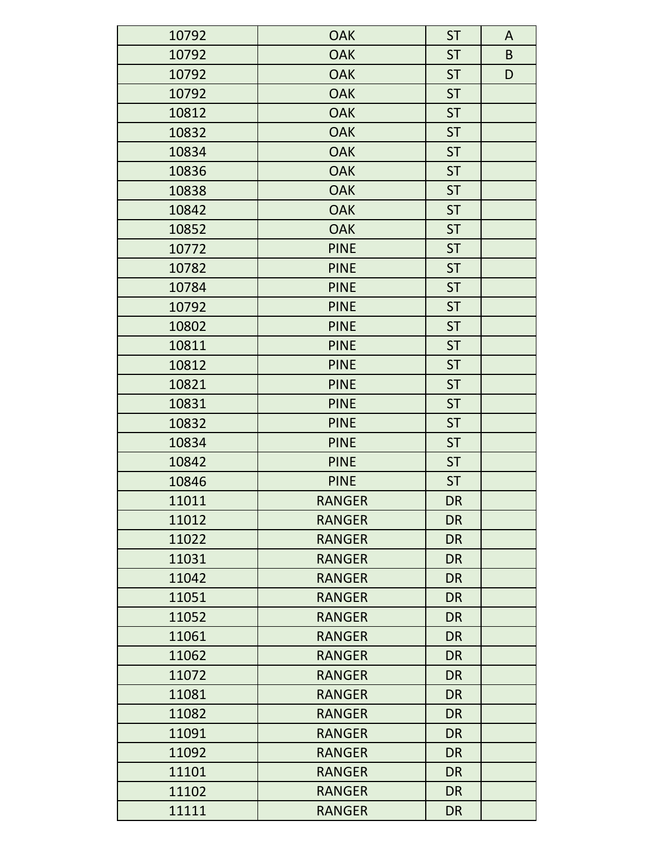| 10792 | <b>OAK</b>    | <b>ST</b> | A |
|-------|---------------|-----------|---|
| 10792 | <b>OAK</b>    | <b>ST</b> | B |
| 10792 | <b>OAK</b>    | <b>ST</b> | D |
| 10792 | <b>OAK</b>    | <b>ST</b> |   |
| 10812 | <b>OAK</b>    | <b>ST</b> |   |
| 10832 | <b>OAK</b>    | <b>ST</b> |   |
| 10834 | <b>OAK</b>    | <b>ST</b> |   |
| 10836 | <b>OAK</b>    | <b>ST</b> |   |
| 10838 | <b>OAK</b>    | <b>ST</b> |   |
| 10842 | <b>OAK</b>    | <b>ST</b> |   |
| 10852 | <b>OAK</b>    | <b>ST</b> |   |
| 10772 | <b>PINE</b>   | <b>ST</b> |   |
| 10782 | <b>PINE</b>   | <b>ST</b> |   |
| 10784 | <b>PINE</b>   | <b>ST</b> |   |
| 10792 | <b>PINE</b>   | <b>ST</b> |   |
| 10802 | <b>PINE</b>   | <b>ST</b> |   |
| 10811 | <b>PINE</b>   | <b>ST</b> |   |
| 10812 | <b>PINE</b>   | <b>ST</b> |   |
| 10821 | <b>PINE</b>   | <b>ST</b> |   |
| 10831 | <b>PINE</b>   | <b>ST</b> |   |
| 10832 | <b>PINE</b>   | <b>ST</b> |   |
| 10834 | <b>PINE</b>   | <b>ST</b> |   |
| 10842 | <b>PINE</b>   | <b>ST</b> |   |
| 10846 | <b>PINE</b>   | <b>ST</b> |   |
| 11011 | <b>RANGER</b> | <b>DR</b> |   |
| 11012 | <b>RANGER</b> | <b>DR</b> |   |
| 11022 | <b>RANGER</b> | <b>DR</b> |   |
| 11031 | <b>RANGER</b> | <b>DR</b> |   |
| 11042 | <b>RANGER</b> | <b>DR</b> |   |
| 11051 | <b>RANGER</b> | <b>DR</b> |   |
| 11052 | <b>RANGER</b> | <b>DR</b> |   |
| 11061 | <b>RANGER</b> | <b>DR</b> |   |
| 11062 | <b>RANGER</b> | <b>DR</b> |   |
| 11072 | <b>RANGER</b> | <b>DR</b> |   |
| 11081 | <b>RANGER</b> | <b>DR</b> |   |
| 11082 | <b>RANGER</b> | <b>DR</b> |   |
| 11091 | <b>RANGER</b> | <b>DR</b> |   |
| 11092 | <b>RANGER</b> | <b>DR</b> |   |
| 11101 | <b>RANGER</b> | <b>DR</b> |   |
| 11102 | <b>RANGER</b> | <b>DR</b> |   |
| 11111 | <b>RANGER</b> | <b>DR</b> |   |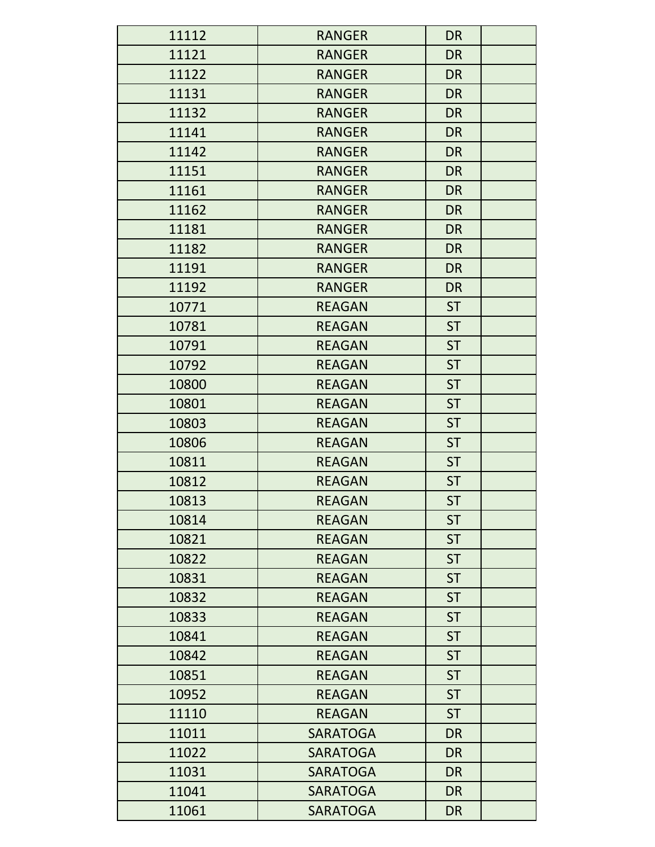| 11112 | <b>RANGER</b>   | <b>DR</b> |
|-------|-----------------|-----------|
| 11121 | <b>RANGER</b>   | <b>DR</b> |
| 11122 | <b>RANGER</b>   | <b>DR</b> |
| 11131 | <b>RANGER</b>   | <b>DR</b> |
| 11132 | <b>RANGER</b>   | <b>DR</b> |
| 11141 | <b>RANGER</b>   | <b>DR</b> |
| 11142 | <b>RANGER</b>   | <b>DR</b> |
| 11151 | <b>RANGER</b>   | <b>DR</b> |
| 11161 | <b>RANGER</b>   | <b>DR</b> |
| 11162 | <b>RANGER</b>   | <b>DR</b> |
| 11181 | <b>RANGER</b>   | <b>DR</b> |
| 11182 | <b>RANGER</b>   | <b>DR</b> |
| 11191 | <b>RANGER</b>   | <b>DR</b> |
| 11192 | <b>RANGER</b>   | <b>DR</b> |
| 10771 | <b>REAGAN</b>   | <b>ST</b> |
| 10781 | <b>REAGAN</b>   | <b>ST</b> |
| 10791 | <b>REAGAN</b>   | <b>ST</b> |
| 10792 | <b>REAGAN</b>   | <b>ST</b> |
| 10800 | <b>REAGAN</b>   | <b>ST</b> |
| 10801 | <b>REAGAN</b>   | <b>ST</b> |
| 10803 | <b>REAGAN</b>   | <b>ST</b> |
| 10806 | <b>REAGAN</b>   | <b>ST</b> |
| 10811 | <b>REAGAN</b>   | <b>ST</b> |
| 10812 | <b>REAGAN</b>   | <b>ST</b> |
| 10813 | <b>REAGAN</b>   | <b>ST</b> |
| 10814 | <b>REAGAN</b>   | <b>ST</b> |
| 10821 | <b>REAGAN</b>   | <b>ST</b> |
| 10822 | <b>REAGAN</b>   | <b>ST</b> |
| 10831 | <b>REAGAN</b>   | <b>ST</b> |
| 10832 | <b>REAGAN</b>   | <b>ST</b> |
| 10833 | <b>REAGAN</b>   | <b>ST</b> |
| 10841 | <b>REAGAN</b>   | <b>ST</b> |
| 10842 | <b>REAGAN</b>   | <b>ST</b> |
| 10851 | <b>REAGAN</b>   | <b>ST</b> |
| 10952 | <b>REAGAN</b>   | <b>ST</b> |
| 11110 | <b>REAGAN</b>   | <b>ST</b> |
| 11011 | <b>SARATOGA</b> | <b>DR</b> |
| 11022 | <b>SARATOGA</b> | <b>DR</b> |
| 11031 | <b>SARATOGA</b> | <b>DR</b> |
| 11041 | <b>SARATOGA</b> | <b>DR</b> |
| 11061 | <b>SARATOGA</b> | <b>DR</b> |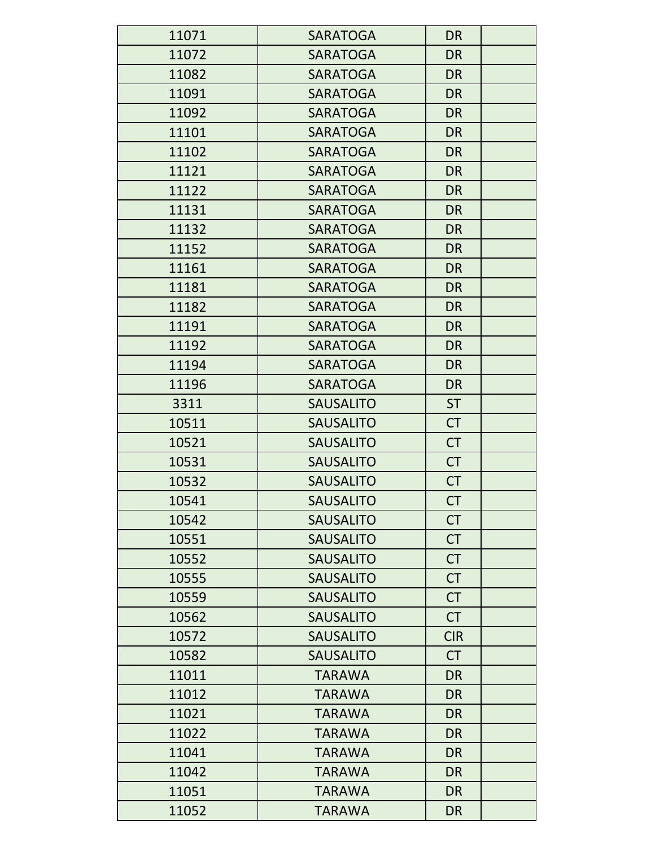| 11071 | <b>SARATOGA</b>  | <b>DR</b>  |
|-------|------------------|------------|
| 11072 | <b>SARATOGA</b>  | <b>DR</b>  |
| 11082 | <b>SARATOGA</b>  | <b>DR</b>  |
| 11091 | <b>SARATOGA</b>  | <b>DR</b>  |
| 11092 | <b>SARATOGA</b>  | <b>DR</b>  |
| 11101 | <b>SARATOGA</b>  | <b>DR</b>  |
| 11102 | <b>SARATOGA</b>  | <b>DR</b>  |
| 11121 | <b>SARATOGA</b>  | <b>DR</b>  |
| 11122 | <b>SARATOGA</b>  | <b>DR</b>  |
| 11131 | <b>SARATOGA</b>  | <b>DR</b>  |
| 11132 | <b>SARATOGA</b>  | <b>DR</b>  |
| 11152 | <b>SARATOGA</b>  | <b>DR</b>  |
| 11161 | <b>SARATOGA</b>  | <b>DR</b>  |
| 11181 | <b>SARATOGA</b>  | <b>DR</b>  |
| 11182 | <b>SARATOGA</b>  | <b>DR</b>  |
| 11191 | <b>SARATOGA</b>  | <b>DR</b>  |
| 11192 | <b>SARATOGA</b>  | <b>DR</b>  |
| 11194 | <b>SARATOGA</b>  | <b>DR</b>  |
| 11196 | <b>SARATOGA</b>  | <b>DR</b>  |
| 3311  | <b>SAUSALITO</b> | <b>ST</b>  |
| 10511 | <b>SAUSALITO</b> | <b>CT</b>  |
| 10521 | <b>SAUSALITO</b> | <b>CT</b>  |
| 10531 | <b>SAUSALITO</b> | <b>CT</b>  |
| 10532 | <b>SAUSALITO</b> | <b>CT</b>  |
| 10541 | <b>SAUSALITO</b> | CT         |
| 10542 | <b>SAUSALITO</b> | <b>CT</b>  |
| 10551 | <b>SAUSALITO</b> | <b>CT</b>  |
| 10552 | <b>SAUSALITO</b> | <b>CT</b>  |
| 10555 | <b>SAUSALITO</b> | <b>CT</b>  |
| 10559 | <b>SAUSALITO</b> | <b>CT</b>  |
| 10562 | <b>SAUSALITO</b> | <b>CT</b>  |
| 10572 | <b>SAUSALITO</b> | <b>CIR</b> |
| 10582 | <b>SAUSALITO</b> | <b>CT</b>  |
| 11011 | <b>TARAWA</b>    | <b>DR</b>  |
| 11012 | <b>TARAWA</b>    | <b>DR</b>  |
| 11021 | <b>TARAWA</b>    | <b>DR</b>  |
| 11022 | <b>TARAWA</b>    | <b>DR</b>  |
| 11041 | <b>TARAWA</b>    | <b>DR</b>  |
| 11042 | <b>TARAWA</b>    | <b>DR</b>  |
| 11051 | <b>TARAWA</b>    | <b>DR</b>  |
| 11052 | <b>TARAWA</b>    | <b>DR</b>  |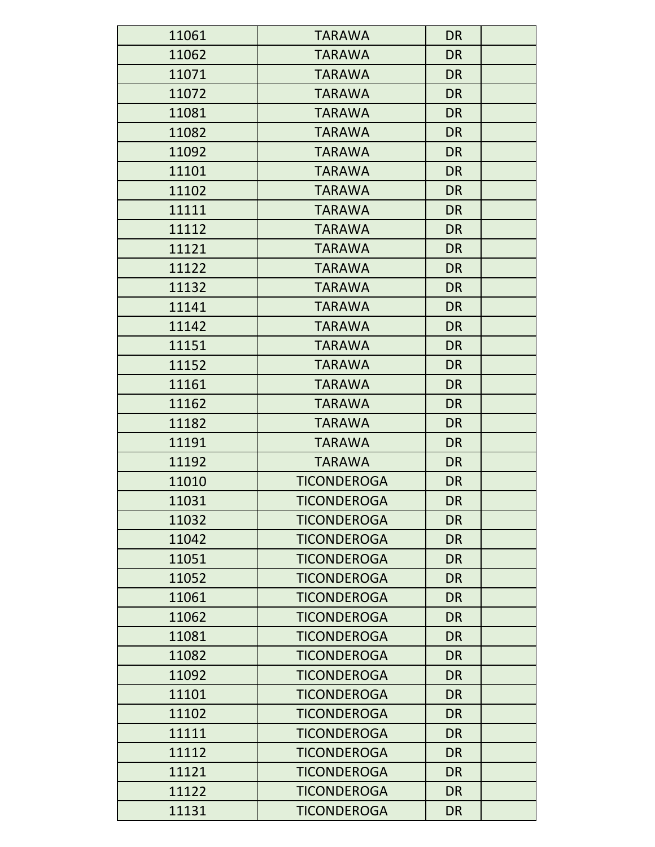| 11061 | <b>TARAWA</b>      | <b>DR</b> |
|-------|--------------------|-----------|
| 11062 | <b>TARAWA</b>      | <b>DR</b> |
| 11071 | <b>TARAWA</b>      | <b>DR</b> |
| 11072 | <b>TARAWA</b>      | <b>DR</b> |
| 11081 | <b>TARAWA</b>      | <b>DR</b> |
| 11082 | <b>TARAWA</b>      | <b>DR</b> |
| 11092 | <b>TARAWA</b>      | <b>DR</b> |
| 11101 | <b>TARAWA</b>      | <b>DR</b> |
| 11102 | <b>TARAWA</b>      | <b>DR</b> |
| 11111 | <b>TARAWA</b>      | <b>DR</b> |
| 11112 | <b>TARAWA</b>      | <b>DR</b> |
| 11121 | <b>TARAWA</b>      | <b>DR</b> |
| 11122 | <b>TARAWA</b>      | <b>DR</b> |
| 11132 | <b>TARAWA</b>      | <b>DR</b> |
| 11141 | <b>TARAWA</b>      | <b>DR</b> |
| 11142 | <b>TARAWA</b>      | <b>DR</b> |
| 11151 | <b>TARAWA</b>      | <b>DR</b> |
| 11152 | <b>TARAWA</b>      | <b>DR</b> |
| 11161 | <b>TARAWA</b>      | <b>DR</b> |
| 11162 | <b>TARAWA</b>      | <b>DR</b> |
| 11182 | <b>TARAWA</b>      | <b>DR</b> |
| 11191 | <b>TARAWA</b>      | <b>DR</b> |
| 11192 | <b>TARAWA</b>      | <b>DR</b> |
| 11010 | <b>TICONDEROGA</b> | <b>DR</b> |
| 11031 | <b>TICONDEROGA</b> | <b>DR</b> |
| 11032 | <b>TICONDEROGA</b> | <b>DR</b> |
| 11042 | <b>TICONDEROGA</b> | <b>DR</b> |
| 11051 | <b>TICONDEROGA</b> | <b>DR</b> |
| 11052 | <b>TICONDEROGA</b> | <b>DR</b> |
| 11061 | <b>TICONDEROGA</b> | <b>DR</b> |
| 11062 | <b>TICONDEROGA</b> | <b>DR</b> |
| 11081 | <b>TICONDEROGA</b> | <b>DR</b> |
| 11082 | <b>TICONDEROGA</b> | <b>DR</b> |
| 11092 | <b>TICONDEROGA</b> | <b>DR</b> |
| 11101 | <b>TICONDEROGA</b> | <b>DR</b> |
| 11102 | <b>TICONDEROGA</b> | <b>DR</b> |
| 11111 | <b>TICONDEROGA</b> | <b>DR</b> |
| 11112 | <b>TICONDEROGA</b> | <b>DR</b> |
| 11121 | <b>TICONDEROGA</b> | <b>DR</b> |
| 11122 | <b>TICONDEROGA</b> | <b>DR</b> |
| 11131 | <b>TICONDEROGA</b> | <b>DR</b> |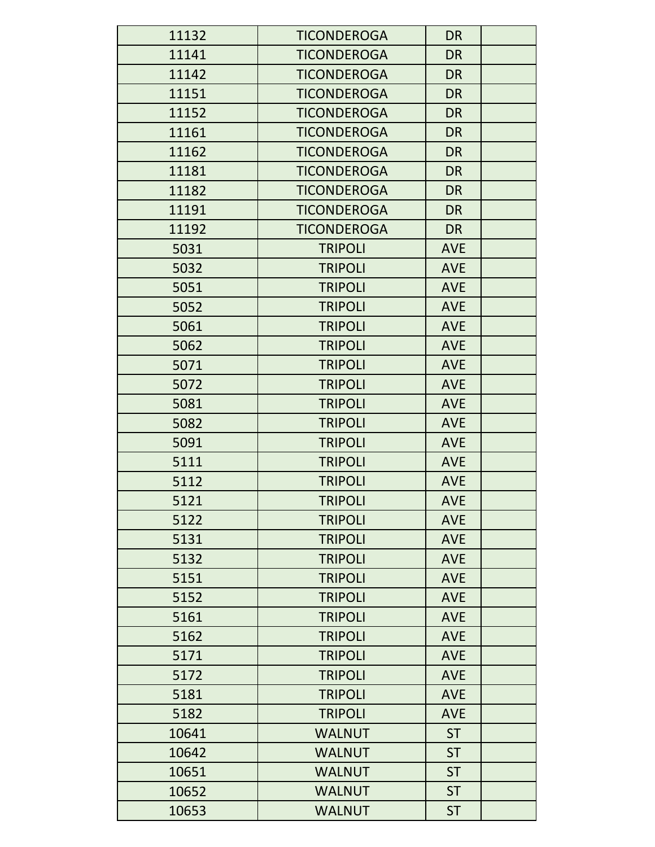| 11132 | <b>TICONDEROGA</b> | <b>DR</b>  |  |
|-------|--------------------|------------|--|
| 11141 | <b>TICONDEROGA</b> | <b>DR</b>  |  |
| 11142 | <b>TICONDEROGA</b> | <b>DR</b>  |  |
| 11151 | <b>TICONDEROGA</b> | <b>DR</b>  |  |
| 11152 | <b>TICONDEROGA</b> | <b>DR</b>  |  |
| 11161 | <b>TICONDEROGA</b> | <b>DR</b>  |  |
| 11162 | <b>TICONDEROGA</b> | <b>DR</b>  |  |
| 11181 | <b>TICONDEROGA</b> | <b>DR</b>  |  |
| 11182 | <b>TICONDEROGA</b> | <b>DR</b>  |  |
| 11191 | <b>TICONDEROGA</b> | <b>DR</b>  |  |
| 11192 | <b>TICONDEROGA</b> | <b>DR</b>  |  |
| 5031  | <b>TRIPOLI</b>     | <b>AVE</b> |  |
| 5032  | <b>TRIPOLI</b>     | <b>AVE</b> |  |
| 5051  | <b>TRIPOLI</b>     | <b>AVE</b> |  |
| 5052  | <b>TRIPOLI</b>     | <b>AVE</b> |  |
| 5061  | <b>TRIPOLI</b>     | <b>AVE</b> |  |
| 5062  | <b>TRIPOLI</b>     | <b>AVE</b> |  |
| 5071  | <b>TRIPOLI</b>     | <b>AVE</b> |  |
| 5072  | <b>TRIPOLI</b>     | <b>AVE</b> |  |
| 5081  | <b>TRIPOLI</b>     | <b>AVE</b> |  |
| 5082  | <b>TRIPOLI</b>     | <b>AVE</b> |  |
| 5091  | <b>TRIPOLI</b>     | <b>AVE</b> |  |
| 5111  | <b>TRIPOLI</b>     | <b>AVE</b> |  |
| 5112  | <b>TRIPOLI</b>     | <b>AVE</b> |  |
| 5121  | <b>TRIPOLI</b>     | <b>AVE</b> |  |
| 5122  | <b>TRIPOLI</b>     | <b>AVE</b> |  |
| 5131  | <b>TRIPOLI</b>     | <b>AVE</b> |  |
| 5132  | <b>TRIPOLI</b>     | <b>AVE</b> |  |
| 5151  | <b>TRIPOLI</b>     | <b>AVE</b> |  |
| 5152  | <b>TRIPOLI</b>     | <b>AVE</b> |  |
| 5161  | <b>TRIPOLI</b>     | <b>AVE</b> |  |
| 5162  | <b>TRIPOLI</b>     | <b>AVE</b> |  |
| 5171  | <b>TRIPOLI</b>     | <b>AVE</b> |  |
| 5172  | <b>TRIPOLI</b>     | <b>AVE</b> |  |
| 5181  | <b>TRIPOLI</b>     | <b>AVE</b> |  |
| 5182  | <b>TRIPOLI</b>     | <b>AVE</b> |  |
| 10641 | <b>WALNUT</b>      | <b>ST</b>  |  |
| 10642 | <b>WALNUT</b>      | <b>ST</b>  |  |
| 10651 | <b>WALNUT</b>      | <b>ST</b>  |  |
| 10652 | <b>WALNUT</b>      | <b>ST</b>  |  |
| 10653 | <b>WALNUT</b>      | <b>ST</b>  |  |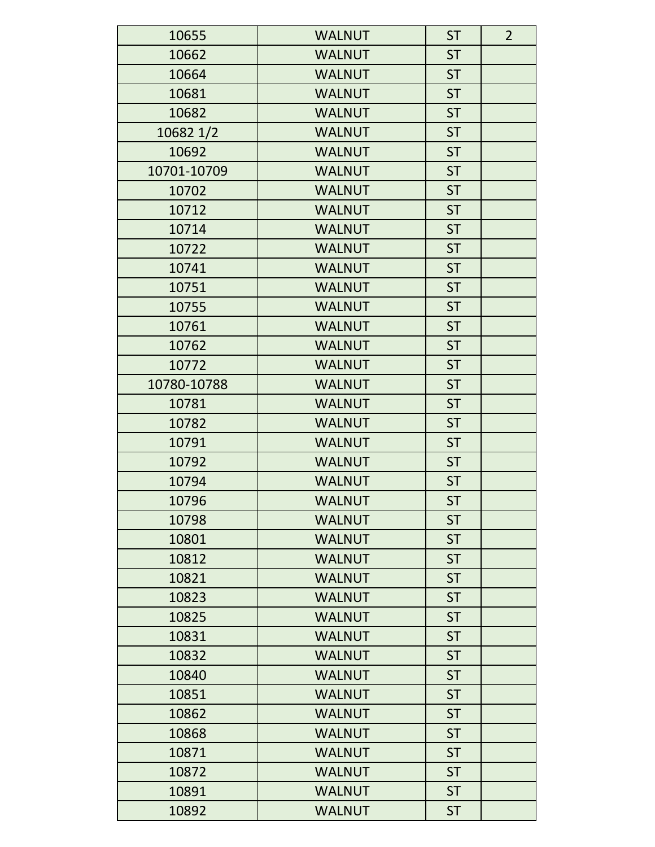| 10655       | <b>WALNUT</b> | <b>ST</b> | $\overline{2}$ |
|-------------|---------------|-----------|----------------|
| 10662       | <b>WALNUT</b> | <b>ST</b> |                |
| 10664       | <b>WALNUT</b> | <b>ST</b> |                |
| 10681       | <b>WALNUT</b> | <b>ST</b> |                |
| 10682       | <b>WALNUT</b> | <b>ST</b> |                |
| 10682 1/2   | <b>WALNUT</b> | <b>ST</b> |                |
| 10692       | <b>WALNUT</b> | <b>ST</b> |                |
| 10701-10709 | <b>WALNUT</b> | <b>ST</b> |                |
| 10702       | <b>WALNUT</b> | <b>ST</b> |                |
| 10712       | <b>WALNUT</b> | <b>ST</b> |                |
| 10714       | <b>WALNUT</b> | <b>ST</b> |                |
| 10722       | <b>WALNUT</b> | <b>ST</b> |                |
| 10741       | <b>WALNUT</b> | <b>ST</b> |                |
| 10751       | <b>WALNUT</b> | <b>ST</b> |                |
| 10755       | <b>WALNUT</b> | <b>ST</b> |                |
| 10761       | <b>WALNUT</b> | <b>ST</b> |                |
| 10762       | <b>WALNUT</b> | <b>ST</b> |                |
| 10772       | <b>WALNUT</b> | <b>ST</b> |                |
| 10780-10788 | <b>WALNUT</b> | <b>ST</b> |                |
| 10781       | <b>WALNUT</b> | <b>ST</b> |                |
| 10782       | <b>WALNUT</b> | <b>ST</b> |                |
| 10791       | <b>WALNUT</b> | <b>ST</b> |                |
| 10792       | <b>WALNUT</b> | <b>ST</b> |                |
| 10794       | <b>WALNUT</b> | <b>ST</b> |                |
| 10796       | <b>WALNUT</b> | <b>ST</b> |                |
| 10798       | <b>WALNUT</b> | <b>ST</b> |                |
| 10801       | <b>WALNUT</b> | <b>ST</b> |                |
| 10812       | <b>WALNUT</b> | <b>ST</b> |                |
| 10821       | <b>WALNUT</b> | <b>ST</b> |                |
| 10823       | <b>WALNUT</b> | <b>ST</b> |                |
| 10825       | <b>WALNUT</b> | <b>ST</b> |                |
| 10831       | <b>WALNUT</b> | <b>ST</b> |                |
| 10832       | <b>WALNUT</b> | <b>ST</b> |                |
| 10840       | <b>WALNUT</b> | <b>ST</b> |                |
| 10851       | <b>WALNUT</b> | <b>ST</b> |                |
| 10862       | <b>WALNUT</b> | <b>ST</b> |                |
| 10868       | <b>WALNUT</b> | <b>ST</b> |                |
| 10871       | <b>WALNUT</b> | <b>ST</b> |                |
| 10872       | <b>WALNUT</b> | <b>ST</b> |                |
| 10891       | <b>WALNUT</b> | <b>ST</b> |                |
| 10892       | <b>WALNUT</b> | <b>ST</b> |                |